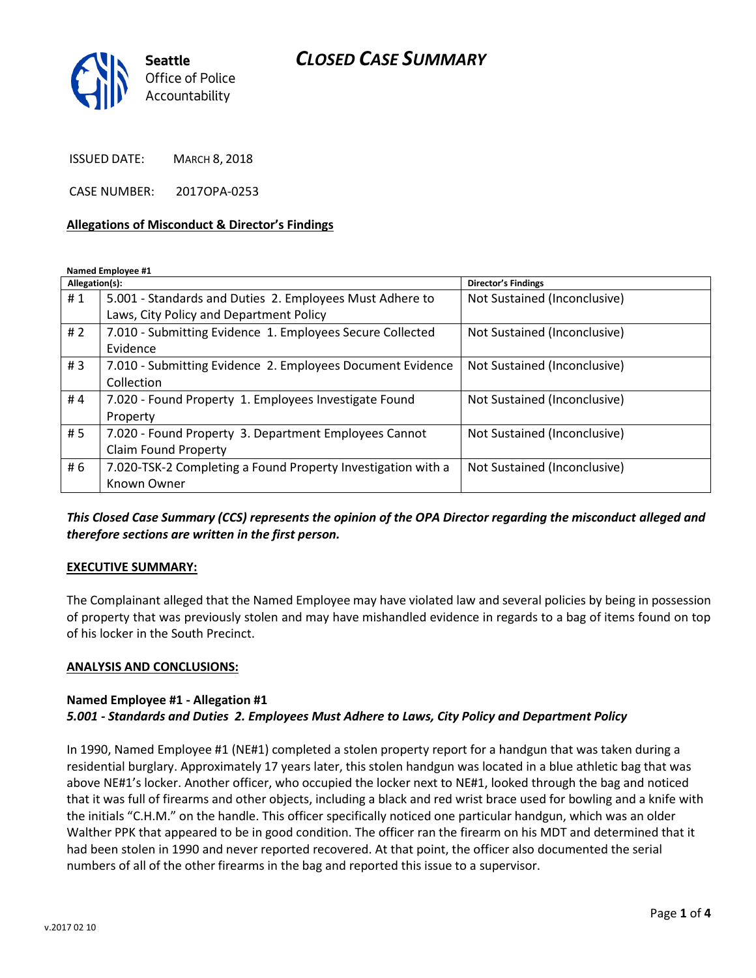# *CLOSED CASE SUMMARY*



ISSUED DATE: MARCH 8, 2018

CASE NUMBER: 2017OPA-0253

#### **Allegations of Misconduct & Director's Findings**

**Named Employee #1**

| Allegation(s): |                                                              | <b>Director's Findings</b>   |
|----------------|--------------------------------------------------------------|------------------------------|
| #1             | 5.001 - Standards and Duties 2. Employees Must Adhere to     | Not Sustained (Inconclusive) |
|                | Laws, City Policy and Department Policy                      |                              |
| #2             | 7.010 - Submitting Evidence 1. Employees Secure Collected    | Not Sustained (Inconclusive) |
|                | Evidence                                                     |                              |
| #3             | 7.010 - Submitting Evidence 2. Employees Document Evidence   | Not Sustained (Inconclusive) |
|                | Collection                                                   |                              |
| #4             | 7.020 - Found Property 1. Employees Investigate Found        | Not Sustained (Inconclusive) |
|                | Property                                                     |                              |
| # 5            | 7.020 - Found Property 3. Department Employees Cannot        | Not Sustained (Inconclusive) |
|                | <b>Claim Found Property</b>                                  |                              |
| # 6            | 7.020-TSK-2 Completing a Found Property Investigation with a | Not Sustained (Inconclusive) |
|                | Known Owner                                                  |                              |

### *This Closed Case Summary (CCS) represents the opinion of the OPA Director regarding the misconduct alleged and therefore sections are written in the first person.*

#### **EXECUTIVE SUMMARY:**

The Complainant alleged that the Named Employee may have violated law and several policies by being in possession of property that was previously stolen and may have mishandled evidence in regards to a bag of items found on top of his locker in the South Precinct.

#### **ANALYSIS AND CONCLUSIONS:**

### **Named Employee #1 - Allegation #1** *5.001 - Standards and Duties 2. Employees Must Adhere to Laws, City Policy and Department Policy*

In 1990, Named Employee #1 (NE#1) completed a stolen property report for a handgun that was taken during a residential burglary. Approximately 17 years later, this stolen handgun was located in a blue athletic bag that was above NE#1's locker. Another officer, who occupied the locker next to NE#1, looked through the bag and noticed that it was full of firearms and other objects, including a black and red wrist brace used for bowling and a knife with the initials "C.H.M." on the handle. This officer specifically noticed one particular handgun, which was an older Walther PPK that appeared to be in good condition. The officer ran the firearm on his MDT and determined that it had been stolen in 1990 and never reported recovered. At that point, the officer also documented the serial numbers of all of the other firearms in the bag and reported this issue to a supervisor.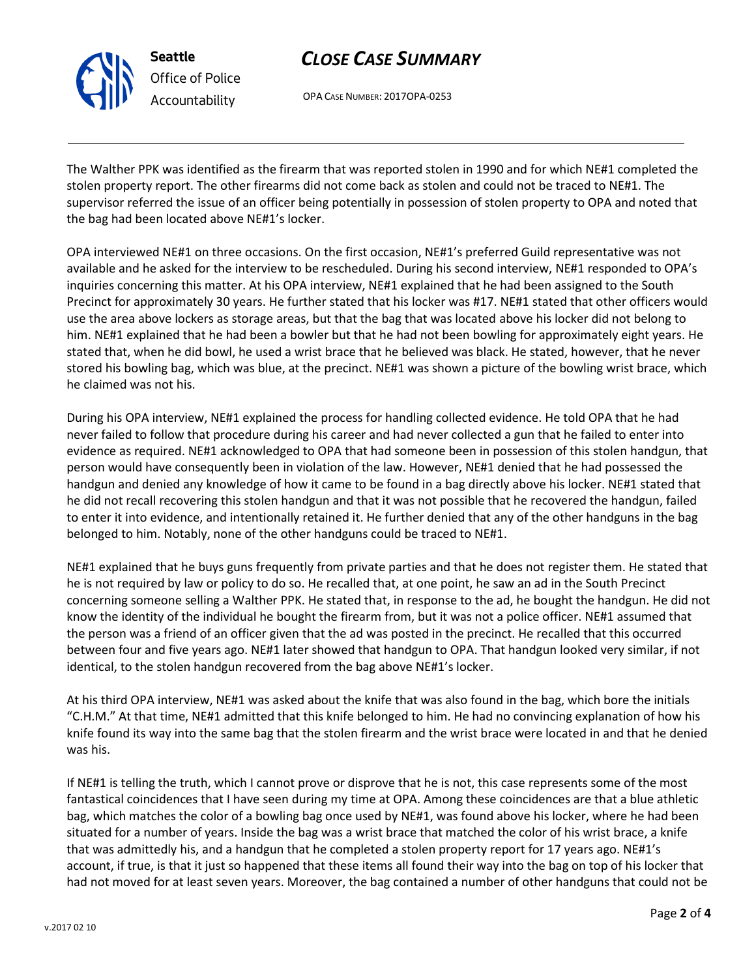v.2017 02 10

# *CLOSE CASE SUMMARY*

OPA CASE NUMBER: 2017OPA-0253

**Seattle**

*Office of Police Accountability*

The Walther PPK was identified as the firearm that was reported stolen in 1990 and for which NE#1 completed the stolen property report. The other firearms did not come back as stolen and could not be traced to NE#1. The supervisor referred the issue of an officer being potentially in possession of stolen property to OPA and noted that the bag had been located above NE#1's locker.

OPA interviewed NE#1 on three occasions. On the first occasion, NE#1's preferred Guild representative was not available and he asked for the interview to be rescheduled. During his second interview, NE#1 responded to OPA's inquiries concerning this matter. At his OPA interview, NE#1 explained that he had been assigned to the South Precinct for approximately 30 years. He further stated that his locker was #17. NE#1 stated that other officers would use the area above lockers as storage areas, but that the bag that was located above his locker did not belong to him. NE#1 explained that he had been a bowler but that he had not been bowling for approximately eight years. He stated that, when he did bowl, he used a wrist brace that he believed was black. He stated, however, that he never stored his bowling bag, which was blue, at the precinct. NE#1 was shown a picture of the bowling wrist brace, which he claimed was not his.

During his OPA interview, NE#1 explained the process for handling collected evidence. He told OPA that he had never failed to follow that procedure during his career and had never collected a gun that he failed to enter into evidence as required. NE#1 acknowledged to OPA that had someone been in possession of this stolen handgun, that person would have consequently been in violation of the law. However, NE#1 denied that he had possessed the handgun and denied any knowledge of how it came to be found in a bag directly above his locker. NE#1 stated that he did not recall recovering this stolen handgun and that it was not possible that he recovered the handgun, failed to enter it into evidence, and intentionally retained it. He further denied that any of the other handguns in the bag belonged to him. Notably, none of the other handguns could be traced to NE#1.

NE#1 explained that he buys guns frequently from private parties and that he does not register them. He stated that he is not required by law or policy to do so. He recalled that, at one point, he saw an ad in the South Precinct concerning someone selling a Walther PPK. He stated that, in response to the ad, he bought the handgun. He did not know the identity of the individual he bought the firearm from, but it was not a police officer. NE#1 assumed that the person was a friend of an officer given that the ad was posted in the precinct. He recalled that this occurred between four and five years ago. NE#1 later showed that handgun to OPA. That handgun looked very similar, if not identical, to the stolen handgun recovered from the bag above NE#1's locker.

At his third OPA interview, NE#1 was asked about the knife that was also found in the bag, which bore the initials "C.H.M." At that time, NE#1 admitted that this knife belonged to him. He had no convincing explanation of how his knife found its way into the same bag that the stolen firearm and the wrist brace were located in and that he denied was his.

If NE#1 is telling the truth, which I cannot prove or disprove that he is not, this case represents some of the most fantastical coincidences that I have seen during my time at OPA. Among these coincidences are that a blue athletic bag, which matches the color of a bowling bag once used by NE#1, was found above his locker, where he had been situated for a number of years. Inside the bag was a wrist brace that matched the color of his wrist brace, a knife that was admittedly his, and a handgun that he completed a stolen property report for 17 years ago. NE#1's account, if true, is that it just so happened that these items all found their way into the bag on top of his locker that had not moved for at least seven years. Moreover, the bag contained a number of other handguns that could not be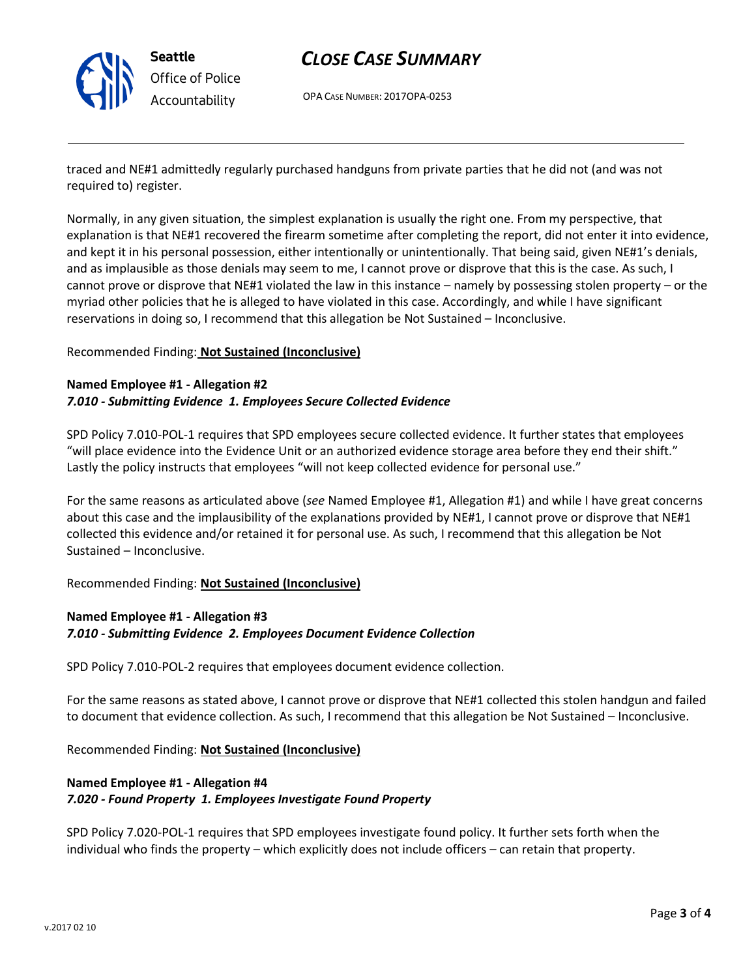

# *CLOSE CASE SUMMARY*

OPA CASE NUMBER: 2017OPA-0253

traced and NE#1 admittedly regularly purchased handguns from private parties that he did not (and was not required to) register.

Normally, in any given situation, the simplest explanation is usually the right one. From my perspective, that explanation is that NE#1 recovered the firearm sometime after completing the report, did not enter it into evidence, and kept it in his personal possession, either intentionally or unintentionally. That being said, given NE#1's denials, and as implausible as those denials may seem to me, I cannot prove or disprove that this is the case. As such, I cannot prove or disprove that NE#1 violated the law in this instance – namely by possessing stolen property – or the myriad other policies that he is alleged to have violated in this case. Accordingly, and while I have significant reservations in doing so, I recommend that this allegation be Not Sustained – Inconclusive.

#### Recommended Finding: **Not Sustained (Inconclusive)**

### **Named Employee #1 - Allegation #2** *7.010 - Submitting Evidence 1. Employees Secure Collected Evidence*

SPD Policy 7.010-POL-1 requires that SPD employees secure collected evidence. It further states that employees "will place evidence into the Evidence Unit or an authorized evidence storage area before they end their shift." Lastly the policy instructs that employees "will not keep collected evidence for personal use."

For the same reasons as articulated above (*see* Named Employee #1, Allegation #1) and while I have great concerns about this case and the implausibility of the explanations provided by NE#1, I cannot prove or disprove that NE#1 collected this evidence and/or retained it for personal use. As such, I recommend that this allegation be Not Sustained – Inconclusive.

#### Recommended Finding: **Not Sustained (Inconclusive)**

## **Named Employee #1 - Allegation #3** *7.010 - Submitting Evidence 2. Employees Document Evidence Collection*

SPD Policy 7.010-POL-2 requires that employees document evidence collection.

For the same reasons as stated above, I cannot prove or disprove that NE#1 collected this stolen handgun and failed to document that evidence collection. As such, I recommend that this allegation be Not Sustained – Inconclusive.

Recommended Finding: **Not Sustained (Inconclusive)**

## **Named Employee #1 - Allegation #4** *7.020 - Found Property 1. Employees Investigate Found Property*

SPD Policy 7.020-POL-1 requires that SPD employees investigate found policy. It further sets forth when the individual who finds the property – which explicitly does not include officers – can retain that property.